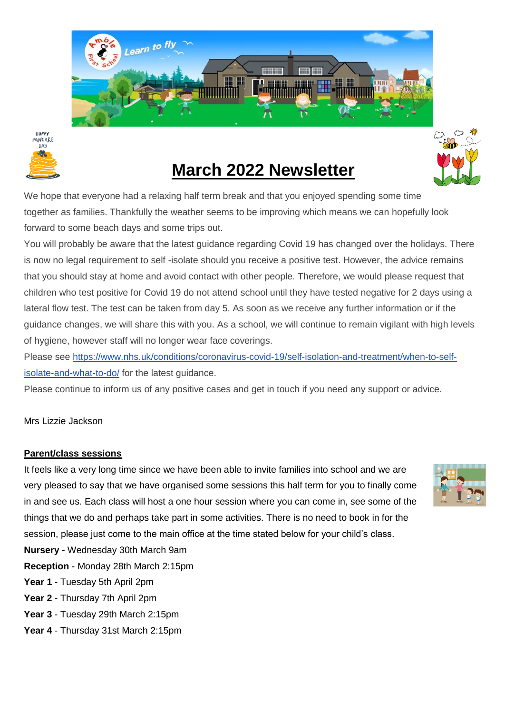



# **March 2022 Newsletter**

We hope that everyone had a relaxing half term break and that you enjoyed spending some time together as families. Thankfully the weather seems to be improving which means we can hopefully look forward to some beach days and some trips out.

You will probably be aware that the latest guidance regarding Covid 19 has changed over the holidays. There is now no legal requirement to self -isolate should you receive a positive test. However, the advice remains that you should stay at home and avoid contact with other people. Therefore, we would please request that children who test positive for Covid 19 do not attend school until they have tested negative for 2 days using a lateral flow test. The test can be taken from day 5. As soon as we receive any further information or if the guidance changes, we will share this with you. As a school, we will continue to remain vigilant with high levels of hygiene, however staff will no longer wear face coverings.

Please see [https://www.nhs.uk/conditions/coronavirus-covid-19/self-isolation-and-treatment/when-to-self](https://www.nhs.uk/conditions/coronavirus-covid-19/self-isolation-and-treatment/when-to-self-isolate-and-what-to-do/)[isolate-and-what-to-do/](https://www.nhs.uk/conditions/coronavirus-covid-19/self-isolation-and-treatment/when-to-self-isolate-and-what-to-do/) for the latest guidance.

Please continue to inform us of any positive cases and get in touch if you need any support or advice.

#### Mrs Lizzie Jackson

#### **Parent/class sessions**

It feels like a very long time since we have been able to invite families into school and we are very pleased to say that we have organised some sessions this half term for you to finally come in and see us. Each class will host a one hour session where you can come in, see some of the things that we do and perhaps take part in some activities. There is no need to book in for the session, please just come to the main office at the time stated below for your child's class.



**Nursery -** Wednesday 30th March 9am

- **Reception** Monday 28th March 2:15pm
- **Year 1** Tuesday 5th April 2pm
- **Year 2** Thursday 7th April 2pm
- **Year 3** Tuesday 29th March 2:15pm
- **Year 4** Thursday 31st March 2:15pm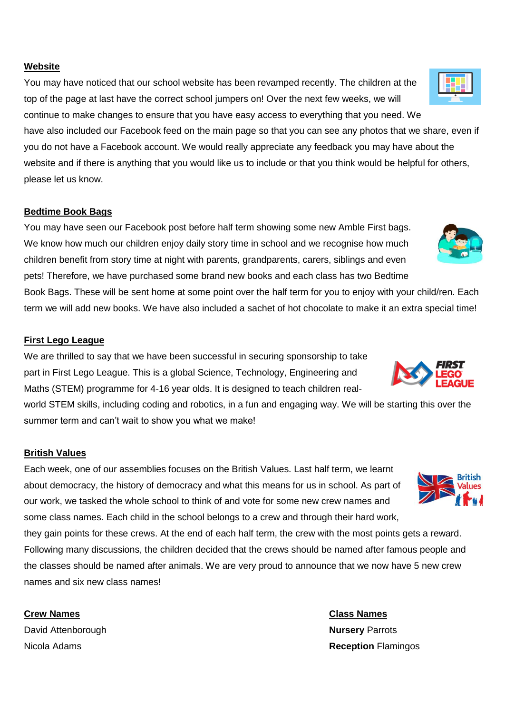**Website** 

You may have noticed that our school website has been revamped recently. The children at the top of the page at last have the correct school jumpers on! Over the next few weeks, we will continue to make changes to ensure that you have easy access to everything that you need. We

have also included our Facebook feed on the main page so that you can see any photos that we share, even if you do not have a Facebook account. We would really appreciate any feedback you may have about the website and if there is anything that you would like us to include or that you think would be helpful for others, please let us know.

#### **Bedtime Book Bags**

You may have seen our Facebook post before half term showing some new Amble First bags. We know how much our children enjoy daily story time in school and we recognise how much children benefit from story time at night with parents, grandparents, carers, siblings and even pets! Therefore, we have purchased some brand new books and each class has two Bedtime

Book Bags. These will be sent home at some point over the half term for you to enjoy with your child/ren. Each term we will add new books. We have also included a sachet of hot chocolate to make it an extra special time!

#### **First Lego League**

We are thrilled to say that we have been successful in securing sponsorship to take part in First Lego League. This is a global Science, Technology, Engineering and Maths (STEM) programme for 4-16 year olds. It is designed to teach children real-

world STEM skills, including coding and robotics, in a fun and engaging way. We will be starting this over the summer term and can't wait to show you what we make!

#### **British Values**

Each week, one of our assemblies focuses on the British Values. Last half term, we learnt about democracy, the history of democracy and what this means for us in school. As part of our work, we tasked the whole school to think of and vote for some new crew names and some class names. Each child in the school belongs to a crew and through their hard work,

they gain points for these crews. At the end of each half term, the crew with the most points gets a reward. Following many discussions, the children decided that the crews should be named after famous people and the classes should be named after animals. We are very proud to announce that we now have 5 new crew names and six new class names!

David Attenborough **Nursery** Parrots

**Crew Names Class Names** Nicola Adams **Reception** Flamingos







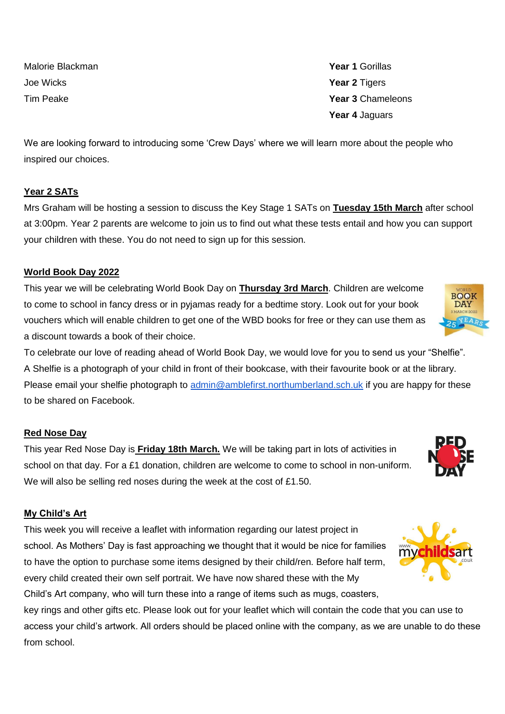Malorie Blackman **Year 1** Gorillas Joe Wicks **Year 2** Tigers

Tim Peake **Year 3** Chameleons **Year 4** Jaguars

We are looking forward to introducing some 'Crew Days' where we will learn more about the people who inspired our choices.

# **Year 2 SATs**

Mrs Graham will be hosting a session to discuss the Key Stage 1 SATs on **Tuesday 15th March** after school at 3:00pm. Year 2 parents are welcome to join us to find out what these tests entail and how you can support your children with these. You do not need to sign up for this session.

# **World Book Day 2022**

This year we will be celebrating World Book Day on **Thursday 3rd March**. Children are welcome to come to school in fancy dress or in pyjamas ready for a bedtime story. Look out for your book vouchers which will enable children to get one of the WBD books for free or they can use them as a discount towards a book of their choice.

To celebrate our love of reading ahead of World Book Day, we would love for you to send us your "Shelfie". A Shelfie is a photograph of your child in front of their bookcase, with their favourite book or at the library. Please email your shelfie photograph to [admin@amblefirst.northumberland.sch.uk](mailto:admin@amblefirst.northumberland.sch.uk) if you are happy for these to be shared on Facebook.

#### **Red Nose Day**

This year Red Nose Day is **Friday 18th March.** We will be taking part in lots of activities in school on that day. For a £1 donation, children are welcome to come to school in non-uniform. We will also be selling red noses during the week at the cost of £1.50.

# **My Child's Art**

This week you will receive a leaflet with information regarding our latest project in school. As Mothers' Day is fast approaching we thought that it would be nice for families to have the option to purchase some items designed by their child/ren. Before half term, every child created their own self portrait. We have now shared these with the My Child's Art company, who will turn these into a range of items such as mugs, coasters,

key rings and other gifts etc. Please look out for your leaflet which will contain the code that you can use to access your child's artwork. All orders should be placed online with the company, as we are unable to do these from school.





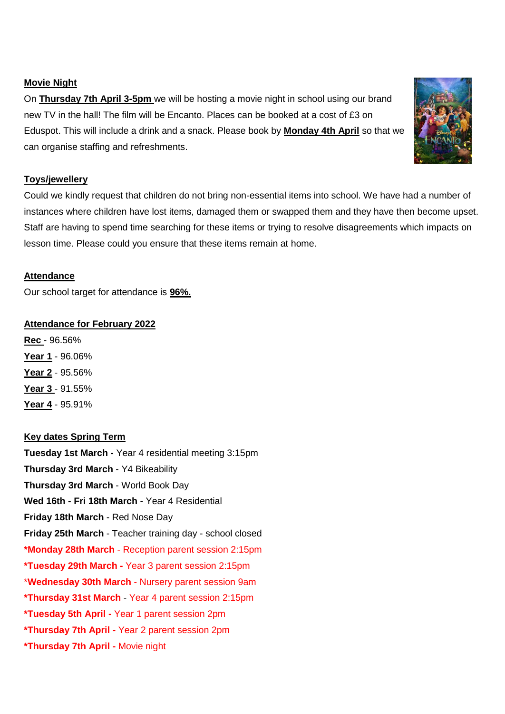#### **Movie Night**

On **Thursday 7th April 3-5pm** we will be hosting a movie night in school using our brand new TV in the hall! The film will be Encanto. Places can be booked at a cost of £3 on Eduspot. This will include a drink and a snack. Please book by **Monday 4th April** so that we can organise staffing and refreshments.

#### **Toys/jewellery**

Could we kindly request that children do not bring non-essential items into school. We have had a number of instances where children have lost items, damaged them or swapped them and they have then become upset. Staff are having to spend time searching for these items or trying to resolve disagreements which impacts on lesson time. Please could you ensure that these items remain at home.

# **Attendance**

Our school target for attendance is **96%.**

#### **Attendance for February 2022**

**Rec** - 96.56% **Year 1** - 96.06% **Year 2** - 95.56% **Year 3** - 91.55% **Year 4** - 95.91%

# **Key dates Spring Term**

**Tuesday 1st March -** Year 4 residential meeting 3:15pm **Thursday 3rd March** - Y4 Bikeability **Thursday 3rd March** - World Book Day **Wed 16th - Fri 18th March** - Year 4 Residential **Friday 18th March** - Red Nose Day **Friday 25th March** - Teacher training day - school closed **\*Monday 28th March** - Reception parent session 2:15pm **\*Tuesday 29th March -** Year 3 parent session 2:15pm \***Wednesday 30th March** - Nursery parent session 9am **\*Thursday 31st March** - Year 4 parent session 2:15pm **\*Tuesday 5th April -** Year 1 parent session 2pm **\*Thursday 7th April -** Year 2 parent session 2pm **\*Thursday 7th April -** Movie night

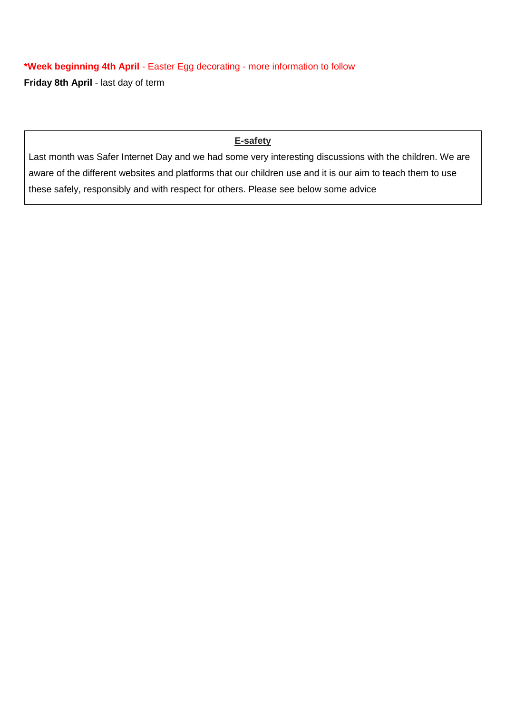**\*Week beginning 4th April** - Easter Egg decorating - more information to follow **Friday 8th April** - last day of term

### **E-safety**

Last month was Safer Internet Day and we had some very interesting discussions with the children. We are aware of the different websites and platforms that our children use and it is our aim to teach them to use these safely, responsibly and with respect for others. Please see below some advice